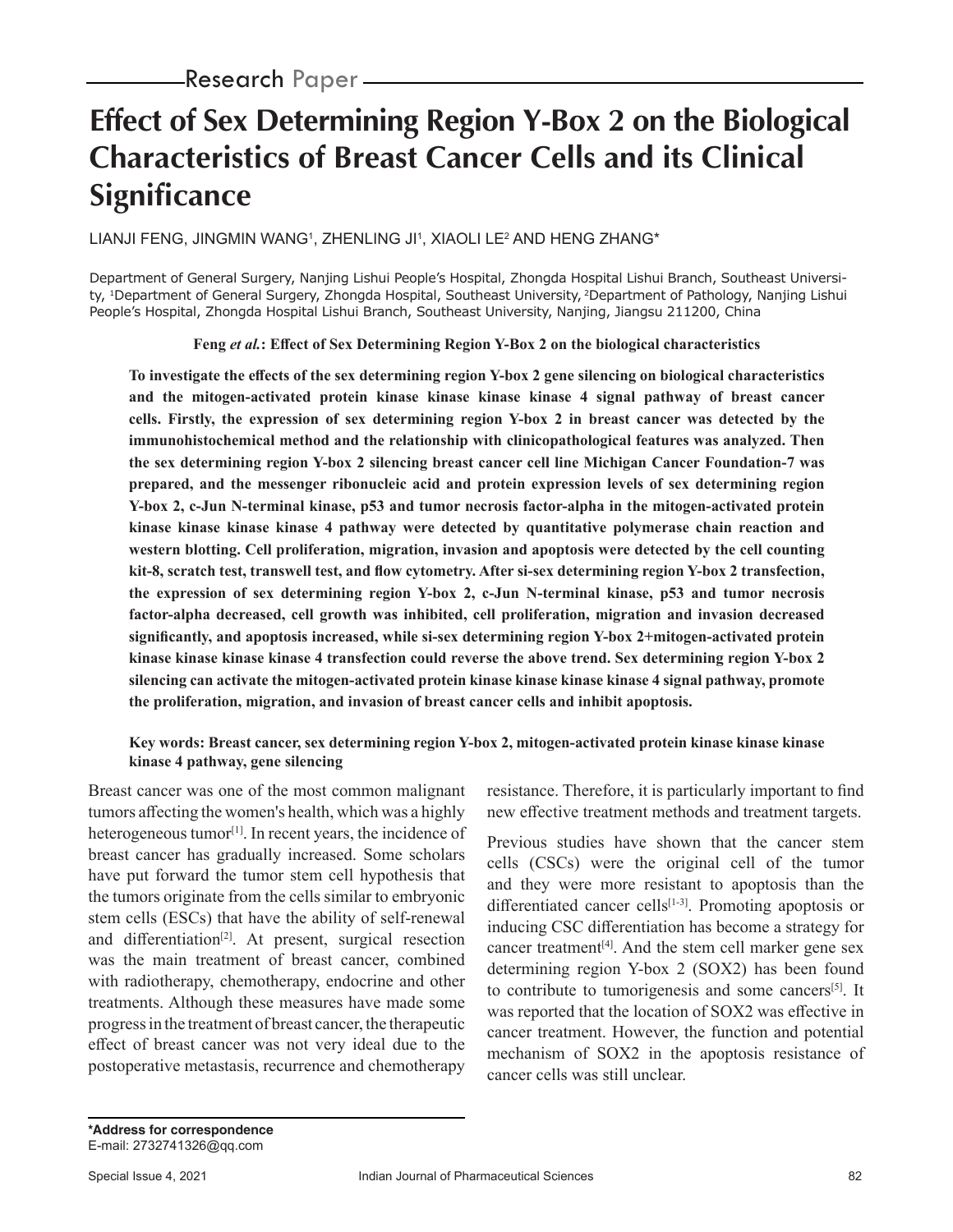# **Effect of Sex Determining Region Y-Box 2 on the Biological Characteristics of Breast Cancer Cells and its Clinical Significance**

LIANJI FENG, JINGMIN WANGʻ, ZHENLING JIʻ, XIAOLI LE<del>'</del> AND HENG ZHANG\*

Department of General Surgery, Nanjing Lishui People's Hospital, Zhongda Hospital Lishui Branch, Southeast University, 1Department of General Surgery, Zhongda Hospital, Southeast University, 2Department of Pathology, Nanjing Lishui People's Hospital, Zhongda Hospital Lishui Branch, Southeast University, Nanjing, Jiangsu 211200, China

**Feng** *et al.***: Effect of Sex Determining Region Y-Box 2 on the biological characteristics**

**To investigate the effects of the sex determining region Y-box 2 gene silencing on biological characteristics and the mitogen-activated protein kinase kinase kinase kinase 4 signal pathway of breast cancer cells. Firstly, the expression of sex determining region Y-box 2 in breast cancer was detected by the immunohistochemical method and the relationship with clinicopathological features was analyzed. Then the sex determining region Y-box 2 silencing breast cancer cell line Michigan Cancer Foundation-7 was prepared, and the messenger ribonucleic acid and protein expression levels of sex determining region Y-box 2, c-Jun N-terminal kinase, p53 and tumor necrosis factor-alpha in the mitogen-activated protein kinase kinase kinase kinase 4 pathway were detected by quantitative polymerase chain reaction and western blotting. Cell proliferation, migration, invasion and apoptosis were detected by the cell counting kit-8, scratch test, transwell test, and flow cytometry. After si-sex determining region Y-box 2 transfection, the expression of sex determining region Y-box 2, c-Jun N-terminal kinase, p53 and tumor necrosis factor-alpha decreased, cell growth was inhibited, cell proliferation, migration and invasion decreased significantly, and apoptosis increased, while si-sex determining region Y-box 2+mitogen-activated protein kinase kinase kinase kinase 4 transfection could reverse the above trend. Sex determining region Y-box 2 silencing can activate the mitogen-activated protein kinase kinase kinase kinase 4 signal pathway, promote the proliferation, migration, and invasion of breast cancer cells and inhibit apoptosis.**

## **Key words: Breast cancer, sex determining region Y-box 2, mitogen-activated protein kinase kinase kinase kinase 4 pathway, gene silencing**

Breast cancer was one of the most common malignant tumors affecting the women's health, which was a highly heterogeneous tumor<sup>[1]</sup>. In recent years, the incidence of breast cancer has gradually increased. Some scholars have put forward the tumor stem cell hypothesis that the tumors originate from the cells similar to embryonic stem cells (ESCs) that have the ability of self-renewal and differentiation<sup>[2]</sup>. At present, surgical resection was the main treatment of breast cancer, combined with radiotherapy, chemotherapy, endocrine and other treatments. Although these measures have made some progress in the treatment of breast cancer, the therapeutic effect of breast cancer was not very ideal due to the postoperative metastasis, recurrence and chemotherapy

resistance. Therefore, it is particularly important to find new effective treatment methods and treatment targets.

Previous studies have shown that the cancer stem cells (CSCs) were the original cell of the tumor and they were more resistant to apoptosis than the differentiated cancer cells<sup>[1-3]</sup>. Promoting apoptosis or inducing CSC differentiation has become a strategy for cancer treatment[4]. And the stem cell marker gene sex determining region Y-box 2 (SOX2) has been found to contribute to tumorigenesis and some cancers<sup>[5]</sup>. It was reported that the location of SOX2 was effective in cancer treatment. However, the function and potential mechanism of SOX2 in the apoptosis resistance of cancer cells was still unclear.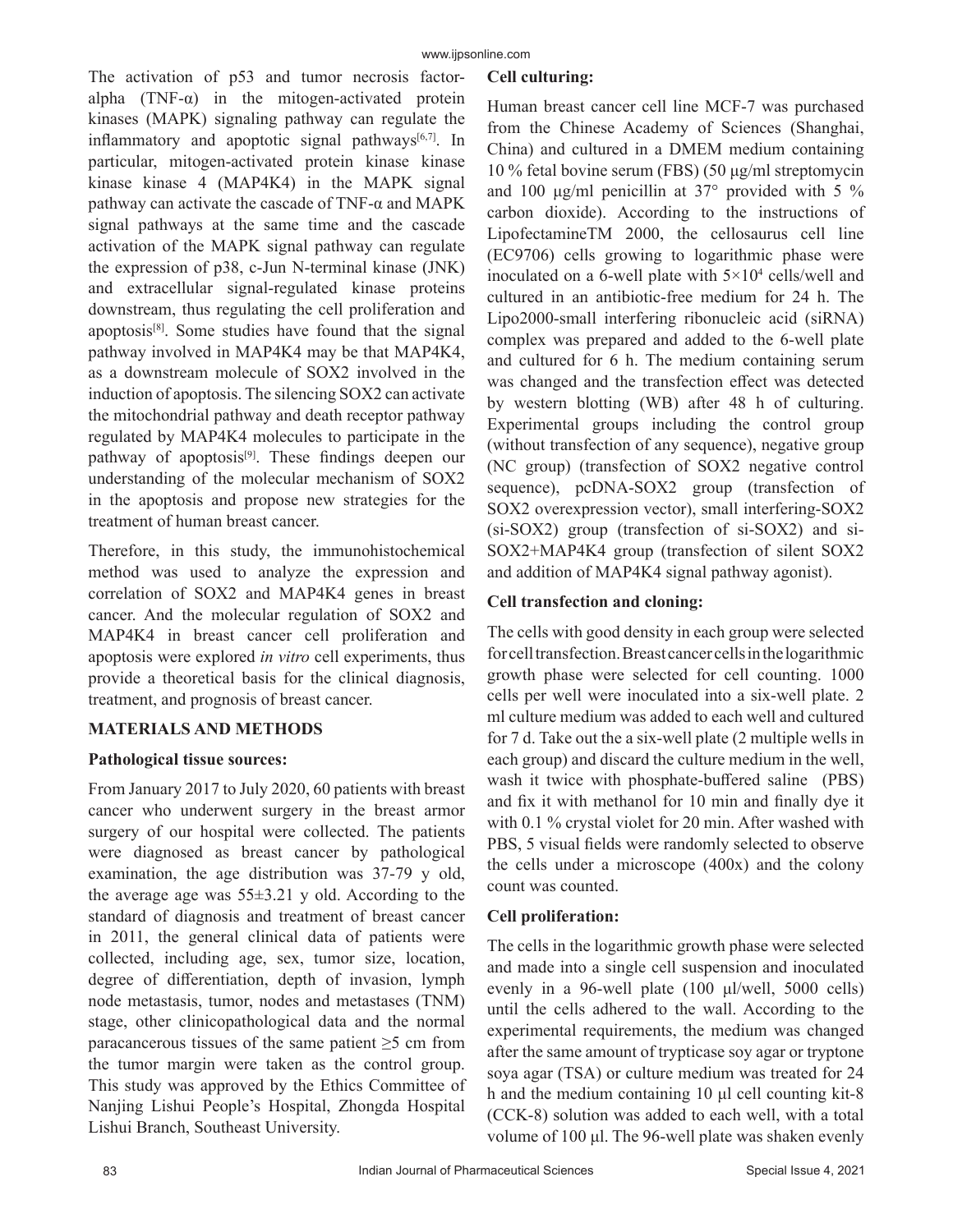The activation of p53 and tumor necrosis factoralpha  $(TNF-\alpha)$  in the mitogen-activated protein kinases (MAPK) signaling pathway can regulate the inflammatory and apoptotic signal pathways $[6,7]$ . In particular, mitogen-activated protein kinase kinase kinase kinase 4 (MAP4K4) in the MAPK signal pathway can activate the cascade of TNF-α and MAPK signal pathways at the same time and the cascade activation of the MAPK signal pathway can regulate the expression of p38, c-Jun N-terminal kinase (JNK) and extracellular signal-regulated kinase proteins downstream, thus regulating the cell proliferation and apoptosis[8]. Some studies have found that the signal pathway involved in MAP4K4 may be that MAP4K4, as a downstream molecule of SOX2 involved in the induction of apoptosis. The silencing SOX2 can activate the mitochondrial pathway and death receptor pathway regulated by MAP4K4 molecules to participate in the pathway of apoptosis<sup>[9]</sup>. These findings deepen our understanding of the molecular mechanism of SOX2 in the apoptosis and propose new strategies for the treatment of human breast cancer.

Therefore, in this study, the immunohistochemical method was used to analyze the expression and correlation of SOX2 and MAP4K4 genes in breast cancer. And the molecular regulation of SOX2 and MAP4K4 in breast cancer cell proliferation and apoptosis were explored *in vitro* cell experiments, thus provide a theoretical basis for the clinical diagnosis, treatment, and prognosis of breast cancer.

# **MATERIALS AND METHODS**

## **Pathological tissue sources:**

From January 2017 to July 2020, 60 patients with breast cancer who underwent surgery in the breast armor surgery of our hospital were collected. The patients were diagnosed as breast cancer by pathological examination, the age distribution was 37-79 y old, the average age was  $55\pm3.21$  y old. According to the standard of diagnosis and treatment of breast cancer in 2011, the general clinical data of patients were collected, including age, sex, tumor size, location, degree of differentiation, depth of invasion, lymph node metastasis, tumor, nodes and metastases (TNM) stage, other clinicopathological data and the normal paracancerous tissues of the same patient  $\geq$ 5 cm from the tumor margin were taken as the control group. This study was approved by the Ethics Committee of Nanjing Lishui People's Hospital, Zhongda Hospital Lishui Branch, Southeast University.

# **Cell culturing:**

Human breast cancer cell line MCF-7 was purchased from the Chinese Academy of Sciences (Shanghai, China) and cultured in a DMEM medium containing 10 % fetal bovine serum (FBS) (50 μg/ml streptomycin and 100  $\mu$ g/ml penicillin at 37° provided with 5 % carbon dioxide). According to the instructions of LipofectamineTM 2000, the cellosaurus cell line (EC9706) cells growing to logarithmic phase were inoculated on a 6-well plate with  $5 \times 10^4$  cells/well and cultured in an antibiotic-free medium for 24 h. The Lipo2000-small interfering ribonucleic acid (siRNA) complex was prepared and added to the 6-well plate and cultured for 6 h. The medium containing serum was changed and the transfection effect was detected by western blotting (WB) after 48 h of culturing. Experimental groups including the control group (without transfection of any sequence), negative group (NC group) (transfection of SOX2 negative control sequence), pcDNA-SOX2 group (transfection of SOX2 overexpression vector), small interfering-SOX2 (si-SOX2) group (transfection of si-SOX2) and si-SOX2+MAP4K4 group (transfection of silent SOX2 and addition of MAP4K4 signal pathway agonist).

# **Cell transfection and cloning:**

The cells with good density in each group were selected for cell transfection. Breast cancer cells in the logarithmic growth phase were selected for cell counting. 1000 cells per well were inoculated into a six-well plate. 2 ml culture medium was added to each well and cultured for 7 d. Take out the a six-well plate (2 multiple wells in each group) and discard the culture medium in the well, wash it twice with phosphate-buffered saline (PBS) and fix it with methanol for 10 min and finally dye it with 0.1 % crystal violet for 20 min. After washed with PBS, 5 visual fields were randomly selected to observe the cells under a microscope (400x) and the colony count was counted.

# **Cell proliferation:**

The cells in the logarithmic growth phase were selected and made into a single cell suspension and inoculated evenly in a 96-well plate (100 μl/well, 5000 cells) until the cells adhered to the wall. According to the experimental requirements, the medium was changed after the same amount of trypticase soy agar or tryptone soya agar (TSA) or culture medium was treated for 24 h and the medium containing 10 μl cell counting kit-8 (CCK-8) solution was added to each well, with a total volume of 100 μl. The 96-well plate was shaken evenly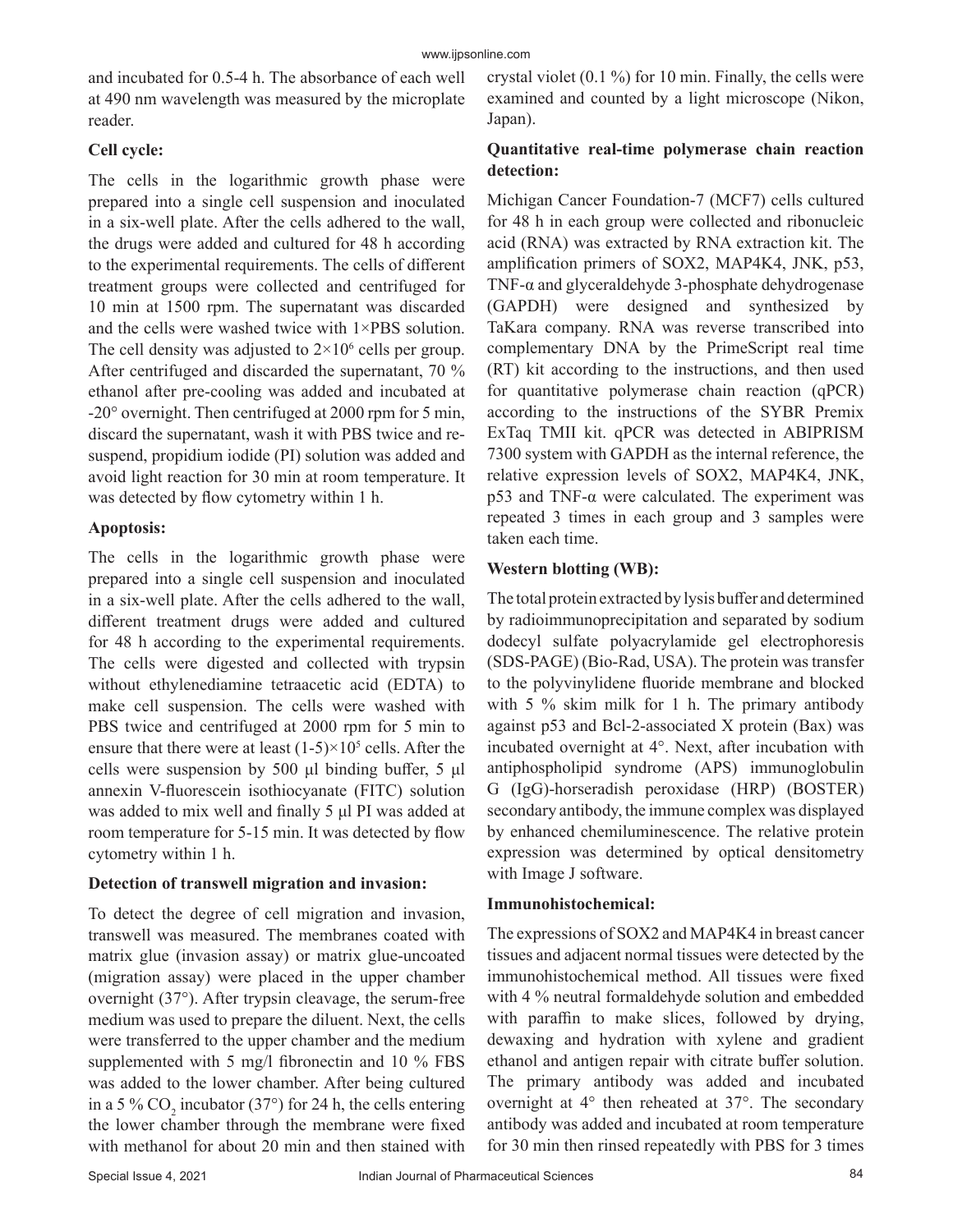and incubated for 0.5-4 h. The absorbance of each well at 490 nm wavelength was measured by the microplate reader.

## **Cell cycle:**

The cells in the logarithmic growth phase were prepared into a single cell suspension and inoculated in a six-well plate. After the cells adhered to the wall, the drugs were added and cultured for 48 h according to the experimental requirements. The cells of different treatment groups were collected and centrifuged for 10 min at 1500 rpm. The supernatant was discarded and the cells were washed twice with 1×PBS solution. The cell density was adjusted to  $2 \times 10^6$  cells per group. After centrifuged and discarded the supernatant, 70 % ethanol after pre-cooling was added and incubated at -20° overnight. Then centrifuged at 2000 rpm for 5 min, discard the supernatant, wash it with PBS twice and resuspend, propidium iodide (PI) solution was added and avoid light reaction for 30 min at room temperature. It was detected by flow cytometry within 1 h.

#### **Apoptosis:**

The cells in the logarithmic growth phase were prepared into a single cell suspension and inoculated in a six-well plate. After the cells adhered to the wall, different treatment drugs were added and cultured for 48 h according to the experimental requirements. The cells were digested and collected with trypsin without ethylenediamine tetraacetic acid (EDTA) to make cell suspension. The cells were washed with PBS twice and centrifuged at 2000 rpm for 5 min to ensure that there were at least  $(1-5) \times 10^5$  cells. After the cells were suspension by 500 μl binding buffer, 5 μl annexin V-fluorescein isothiocyanate (FITC) solution was added to mix well and finally 5 μl PI was added at room temperature for 5-15 min. It was detected by flow cytometry within 1 h.

## **Detection of transwell migration and invasion:**

To detect the degree of cell migration and invasion, transwell was measured. The membranes coated with matrix glue (invasion assay) or matrix glue-uncoated (migration assay) were placed in the upper chamber overnight (37°). After trypsin cleavage, the serum-free medium was used to prepare the diluent. Next, the cells were transferred to the upper chamber and the medium supplemented with 5 mg/l fibronectin and 10 % FBS was added to the lower chamber. After being cultured in a 5 %  $CO_2$  incubator (37°) for 24 h, the cells entering the lower chamber through the membrane were fixed with methanol for about 20 min and then stained with

crystal violet (0.1 %) for 10 min. Finally, the cells were examined and counted by a light microscope (Nikon, Japan).

## **Quantitative real-time polymerase chain reaction detection:**

Michigan Cancer Foundation-7 (MCF7) cells cultured for 48 h in each group were collected and ribonucleic acid (RNA) was extracted by RNA extraction kit. The amplification primers of SOX2, MAP4K4, JNK, p53, TNF-α and glyceraldehyde 3-phosphate dehydrogenase (GAPDH) were designed and synthesized by TaKara company. RNA was reverse transcribed into complementary DNA by the PrimeScript real time (RT) kit according to the instructions, and then used for quantitative polymerase chain reaction (qPCR) according to the instructions of the SYBR Premix ExTaq TMII kit. qPCR was detected in ABIPRISM 7300 system with GAPDH as the internal reference, the relative expression levels of SOX2, MAP4K4, JNK, p53 and TNF-α were calculated. The experiment was repeated 3 times in each group and 3 samples were taken each time.

## **Western blotting (WB):**

The total protein extracted by lysis buffer and determined by radioimmunoprecipitation and separated by sodium dodecyl sulfate polyacrylamide gel electrophoresis (SDS-PAGE) (Bio-Rad, USA). The protein was transfer to the polyvinylidene fluoride membrane and blocked with 5 % skim milk for 1 h. The primary antibody against p53 and Bcl-2-associated X protein (Bax) was incubated overnight at 4°. Next, after incubation with antiphospholipid syndrome (APS) immunoglobulin G (IgG)-horseradish peroxidase (HRP) (BOSTER) secondary antibody, the immune complex was displayed by enhanced chemiluminescence. The relative protein expression was determined by optical densitometry with Image J software.

## **Immunohistochemical:**

The expressions of SOX2 and MAP4K4 in breast cancer tissues and adjacent normal tissues were detected by the immunohistochemical method. All tissues were fixed with 4 % neutral formaldehyde solution and embedded with paraffin to make slices, followed by drying, dewaxing and hydration with xylene and gradient ethanol and antigen repair with citrate buffer solution. The primary antibody was added and incubated overnight at 4° then reheated at 37°. The secondary antibody was added and incubated at room temperature for 30 min then rinsed repeatedly with PBS for 3 times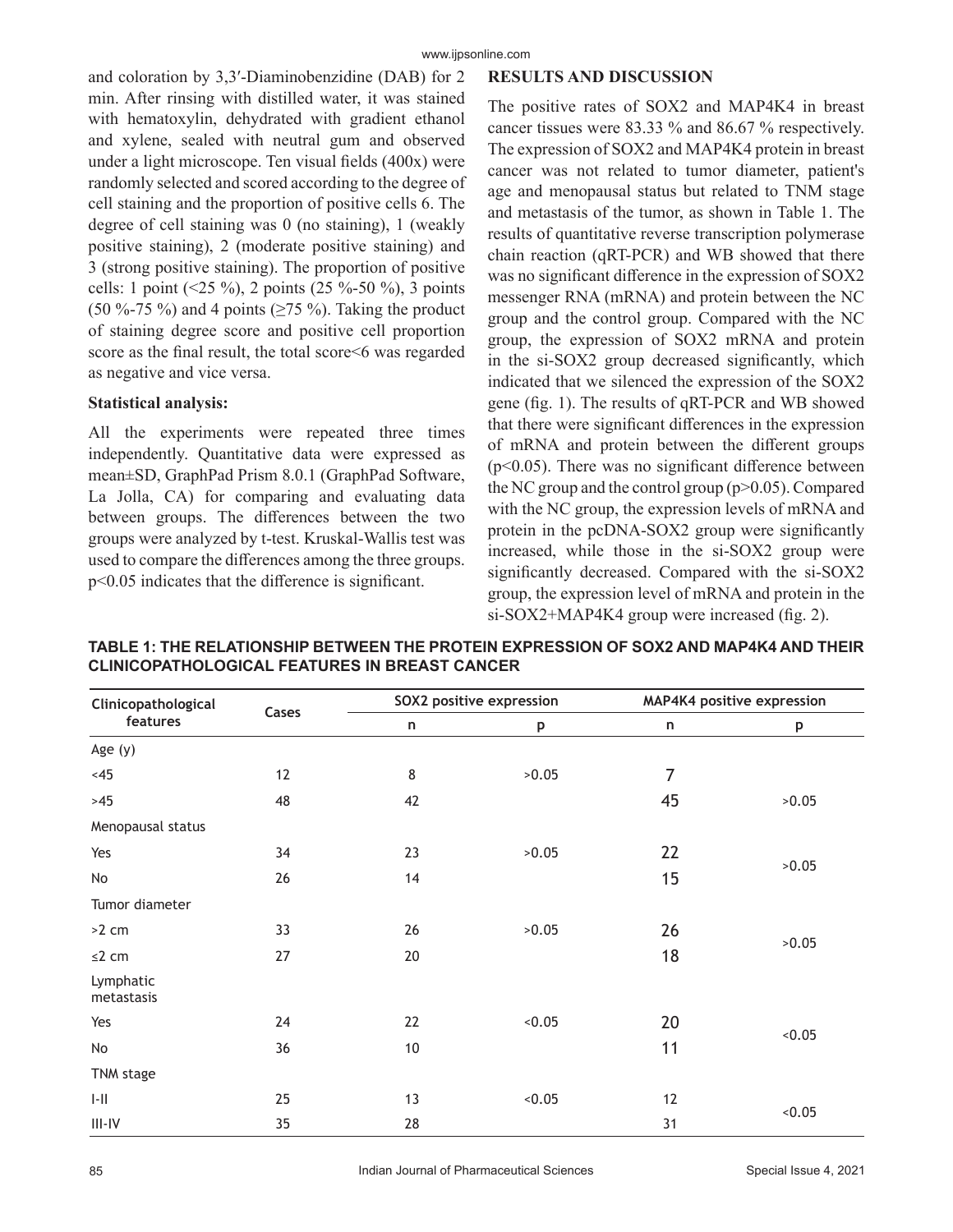and coloration by 3,3′-Diaminobenzidine (DAB) for 2 min. After rinsing with distilled water, it was stained with hematoxylin, dehydrated with gradient ethanol and xylene, sealed with neutral gum and observed under a light microscope. Ten visual fields (400x) were randomly selected and scored according to the degree of cell staining and the proportion of positive cells 6. The degree of cell staining was 0 (no staining), 1 (weakly positive staining), 2 (moderate positive staining) and 3 (strong positive staining). The proportion of positive cells: 1 point (<25 %), 2 points (25 %-50 %), 3 points (50 %-75 %) and 4 points ( $\geq$ 75 %). Taking the product of staining degree score and positive cell proportion score as the final result, the total score<6 was regarded as negative and vice versa.

#### **Statistical analysis:**

All the experiments were repeated three times independently. Quantitative data were expressed as mean±SD, GraphPad Prism 8.0.1 (GraphPad Software, La Jolla, CA) for comparing and evaluating data between groups. The differences between the two groups were analyzed by t-test. Kruskal-Wallis test was used to compare the differences among the three groups. p<0.05 indicates that the difference is significant.

#### **RESULTS AND DISCUSSION**

The positive rates of SOX2 and MAP4K4 in breast cancer tissues were 83.33 % and 86.67 % respectively. The expression of SOX2 and MAP4K4 protein in breast cancer was not related to tumor diameter, patient's age and menopausal status but related to TNM stage and metastasis of the tumor, as shown in Table 1. The results of quantitative reverse transcription polymerase chain reaction (qRT-PCR) and WB showed that there was no significant difference in the expression of SOX2 messenger RNA (mRNA) and protein between the NC group and the control group. Compared with the NC group, the expression of SOX2 mRNA and protein in the si-SOX2 group decreased significantly, which indicated that we silenced the expression of the SOX2 gene (fig. 1). The results of qRT-PCR and WB showed that there were significant differences in the expression of mRNA and protein between the different groups ( $p$ <0.05). There was no significant difference between the NC group and the control group  $(p>0.05)$ . Compared with the NC group, the expression levels of mRNA and protein in the pcDNA-SOX2 group were significantly increased, while those in the si-SOX2 group were significantly decreased. Compared with the si-SOX2 group, the expression level of mRNA and protein in the si-SOX2+MAP4K4 group were increased (fig. 2).

| Clinicopathological<br>features | Cases | SOX2 positive expression |        | MAP4K4 positive expression |        |
|---------------------------------|-------|--------------------------|--------|----------------------------|--------|
|                                 |       | n                        | p      | n                          | p      |
| Age $(y)$                       |       |                          |        |                            |        |
| <45                             | 12    | 8                        | >0.05  | 7                          |        |
| $>45$                           | 48    | 42                       |        | 45                         | >0.05  |
| Menopausal status               |       |                          |        |                            |        |
| Yes                             | 34    | 23                       | >0.05  | 22                         | >0.05  |
| No                              | 26    | 14                       |        | 15                         |        |
| Tumor diameter                  |       |                          |        |                            |        |
| >2 cm                           | 33    | 26                       | >0.05  | 26                         | >0.05  |
| $\leq$ 2 cm                     | 27    | 20                       |        | 18                         |        |
| Lymphatic<br>metastasis         |       |                          |        |                            |        |
| Yes                             | 24    | 22                       | < 0.05 | 20                         | < 0.05 |
| No                              | 36    | 10                       |        | 11                         |        |
| TNM stage                       |       |                          |        |                            |        |
| $\left\  \cdot \right\ $        | 25    | 13                       | < 0.05 | 12                         | 0.05   |
| $III - IV$                      | 35    | 28                       |        | 31                         |        |

**TABLE 1: THE RELATIONSHIP BETWEEN THE PROTEIN EXPRESSION OF SOX2 AND MAP4K4 AND THEIR CLINICOPATHOLOGICAL FEATURES IN BREAST CANCER**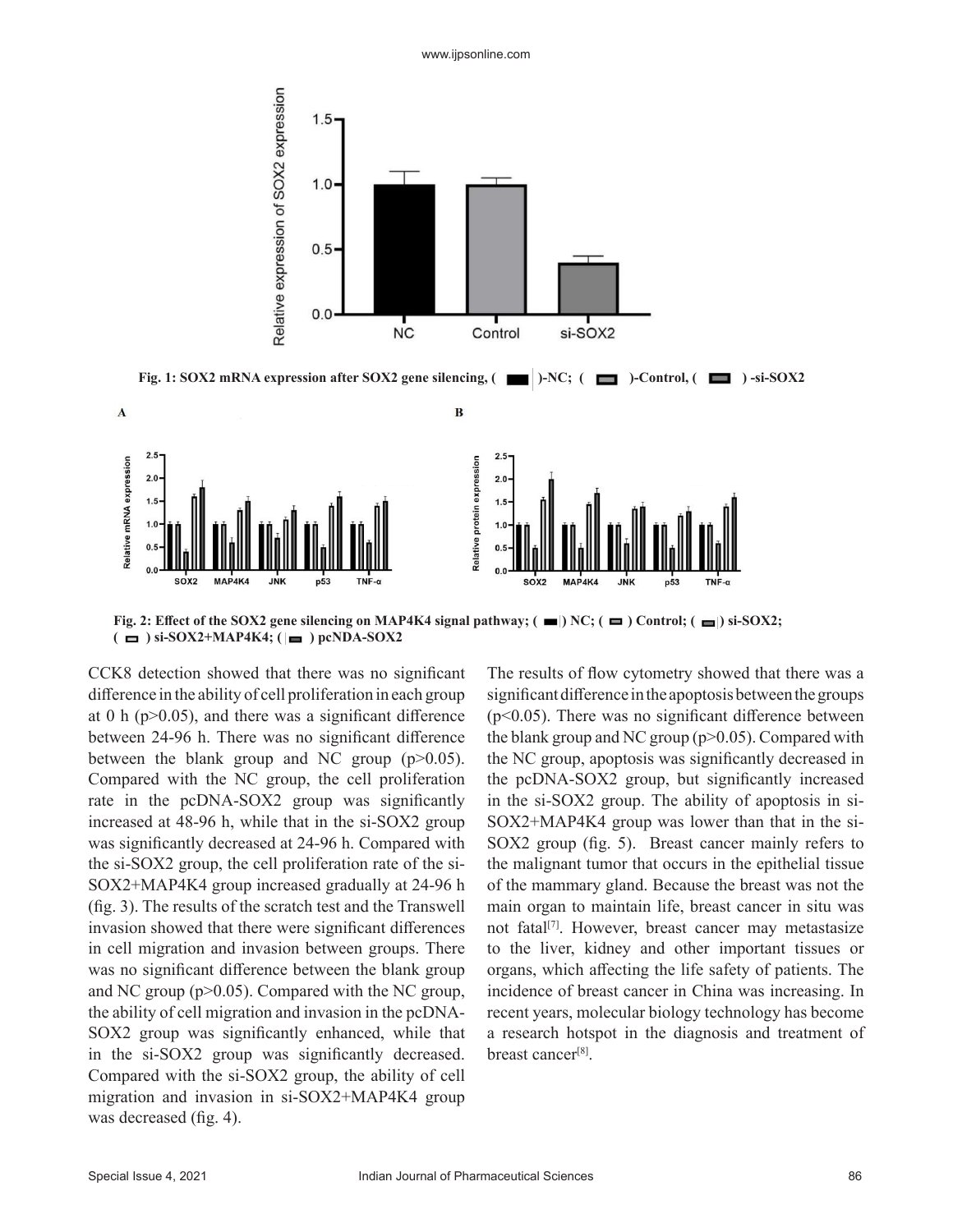

**Fig. 2: Effect of the SOX2 gene silencing on MAP4K4 signal pathway;**  $(\blacksquare)$  **NC;**  $(\blacksquare)$  **Control;**  $(\blacksquare)$  **si-SOX2;**  $(\blacksquare)$  si-SOX2+MAP4K4;  $(\blacksquare)$  pcNDA-SOX2

CCK8 detection showed that there was no significant difference in the ability of cell proliferation in each group at 0 h ( $p$  $>$ 0.05), and there was a significant difference between 24-96 h. There was no significant difference between the blank group and NC group  $(p>0.05)$ . Compared with the NC group, the cell proliferation rate in the pcDNA-SOX2 group was significantly increased at 48-96 h, while that in the si-SOX2 group was significantly decreased at 24-96 h. Compared with the si-SOX2 group, the cell proliferation rate of the si-SOX2+MAP4K4 group increased gradually at 24-96 h (fig. 3). The results of the scratch test and the Transwell invasion showed that there were significant differences in cell migration and invasion between groups. There was no significant difference between the blank group and NC group (p>0.05). Compared with the NC group, the ability of cell migration and invasion in the pcDNA-SOX2 group was significantly enhanced, while that in the si-SOX2 group was significantly decreased. Compared with the si-SOX2 group, the ability of cell migration and invasion in si-SOX2+MAP4K4 group was decreased (fig. 4).

The results of flow cytometry showed that there was a significant difference in the apoptosis between the groups  $(p<0.05)$ . There was no significant difference between the blank group and NC group  $(p>0.05)$ . Compared with the NC group, apoptosis was significantly decreased in the pcDNA-SOX2 group, but significantly increased in the si-SOX2 group. The ability of apoptosis in si-SOX2+MAP4K4 group was lower than that in the si-SOX2 group (fig. 5). Breast cancer mainly refers to the malignant tumor that occurs in the epithelial tissue of the mammary gland. Because the breast was not the main organ to maintain life, breast cancer in situ was not fatal<sup>[7]</sup>. However, breast cancer may metastasize to the liver, kidney and other important tissues or organs, which affecting the life safety of patients. The incidence of breast cancer in China was increasing. In recent years, molecular biology technology has become a research hotspot in the diagnosis and treatment of breast cancer<sup>[8]</sup>.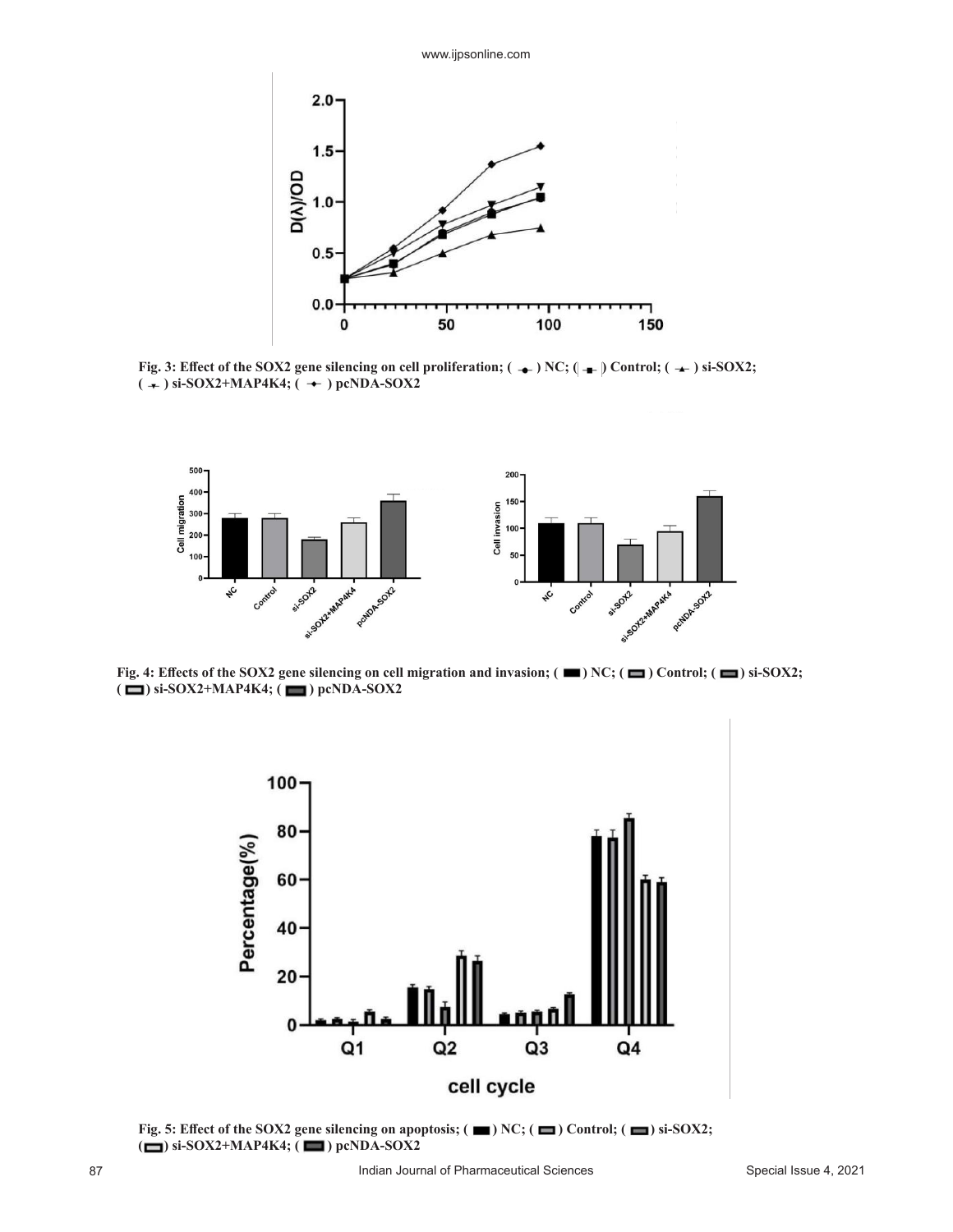

Fig. 3: Effect of the SOX2 gene silencing on cell proliferation; ( $\rightarrow$ ) NC; ( $\rightarrow$ ) Control; ( $\rightarrow$ ) si-SOX2;  $(\div)$  si-SOX2+MAP4K4;  $(\div)$  pcNDA-SOX2



**Fig. 4: Effects of the SOX2 gene silencing on cell migration and invasion; (** $\blacksquare$ **) NC; (** $\blacksquare$ **) Control; (** $\blacksquare$ **) si-SOX2; (** $\Box$ ) si-SOX2+MAP4K4; ( $\Box$ ) pcNDA-SOX2



**Fig. 5: Effect of the SOX2 gene silencing on apoptosis; (** $\blacksquare$ **) NC; (** $\blacksquare$ **) Control; (** $\blacksquare$ **) si-SOX2; (** $\Box$ ) si-SOX2+MAP4K4; ( $\Box$ ) pcNDA-SOX2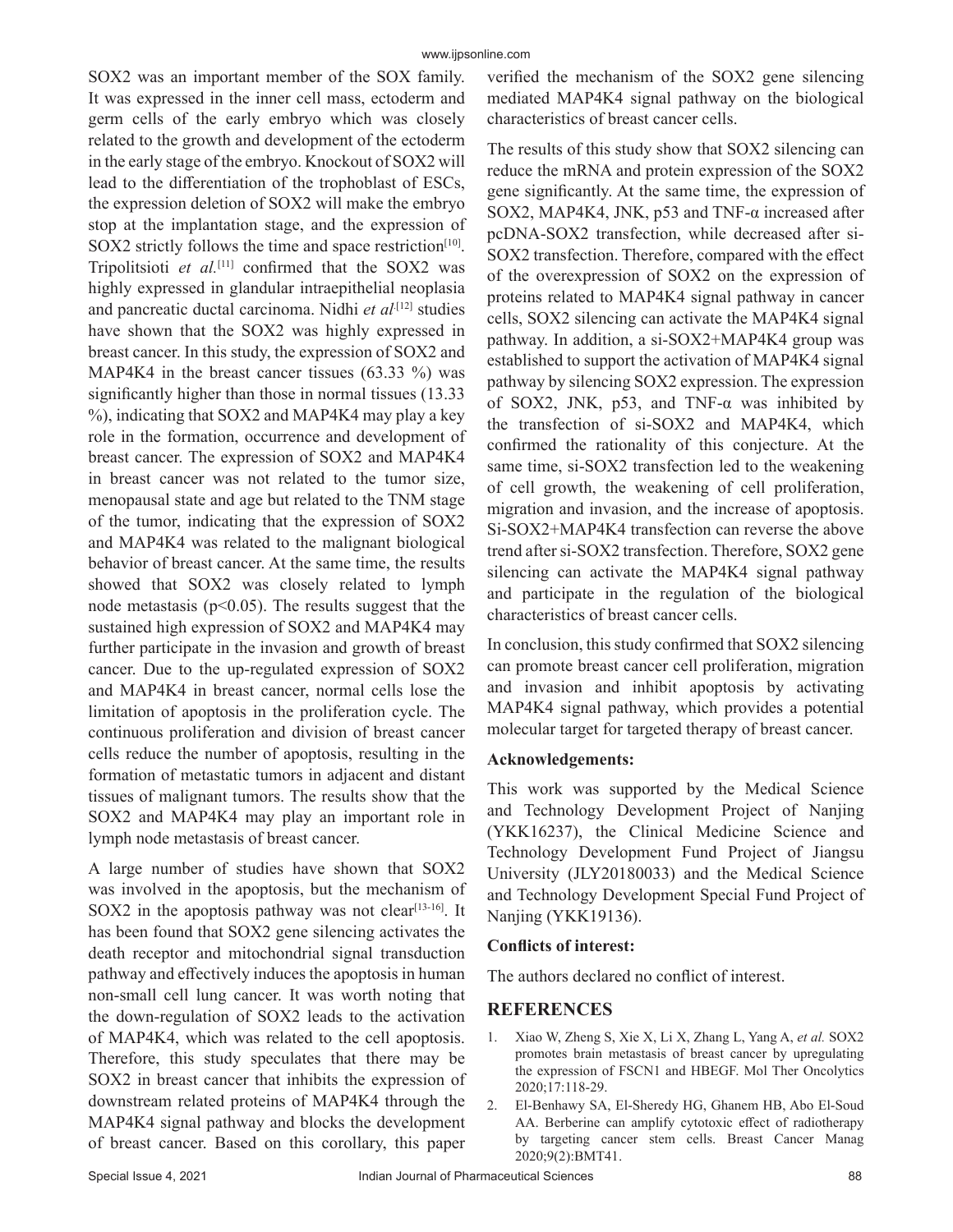SOX2 was an important member of the SOX family. It was expressed in the inner cell mass, ectoderm and germ cells of the early embryo which was closely related to the growth and development of the ectoderm in the early stage of the embryo. Knockout of SOX2 will lead to the differentiation of the trophoblast of ESCs, the expression deletion of SOX2 will make the embryo stop at the implantation stage, and the expression of SOX2 strictly follows the time and space restriction<sup>[10]</sup>. Tripolitsioti *et al.*[11] confirmed that the SOX2 was highly expressed in glandular intraepithelial neoplasia and pancreatic ductal carcinoma. Nidhi *et al*.<sup>[12]</sup> studies have shown that the SOX2 was highly expressed in breast cancer. In this study, the expression of SOX2 and MAP4K4 in the breast cancer tissues  $(63.33 \%)$  was significantly higher than those in normal tissues (13.33 %), indicating that SOX2 and MAP4K4 may play a key role in the formation, occurrence and development of breast cancer. The expression of SOX2 and MAP4K4 in breast cancer was not related to the tumor size, menopausal state and age but related to the TNM stage of the tumor, indicating that the expression of SOX2 and MAP4K4 was related to the malignant biological behavior of breast cancer. At the same time, the results showed that SOX2 was closely related to lymph node metastasis ( $p<0.05$ ). The results suggest that the sustained high expression of SOX2 and MAP4K4 may further participate in the invasion and growth of breast cancer. Due to the up-regulated expression of SOX2 and MAP4K4 in breast cancer, normal cells lose the limitation of apoptosis in the proliferation cycle. The continuous proliferation and division of breast cancer cells reduce the number of apoptosis, resulting in the formation of metastatic tumors in adjacent and distant tissues of malignant tumors. The results show that the SOX2 and MAP4K4 may play an important role in lymph node metastasis of breast cancer.

A large number of studies have shown that SOX2 was involved in the apoptosis, but the mechanism of SOX2 in the apoptosis pathway was not clear<sup>[13-16]</sup>. It has been found that SOX2 gene silencing activates the death receptor and mitochondrial signal transduction pathway and effectively induces the apoptosis in human non-small cell lung cancer. It was worth noting that the down-regulation of SOX2 leads to the activation of MAP4K4, which was related to the cell apoptosis. Therefore, this study speculates that there may be SOX2 in breast cancer that inhibits the expression of downstream related proteins of MAP4K4 through the MAP4K4 signal pathway and blocks the development of breast cancer. Based on this corollary, this paper verified the mechanism of the SOX2 gene silencing mediated MAP4K4 signal pathway on the biological characteristics of breast cancer cells.

The results of this study show that SOX2 silencing can reduce the mRNA and protein expression of the SOX2 gene significantly. At the same time, the expression of SOX2, MAP4K4, JNK, p53 and TNF-α increased after pcDNA-SOX2 transfection, while decreased after si-SOX2 transfection. Therefore, compared with the effect of the overexpression of SOX2 on the expression of proteins related to MAP4K4 signal pathway in cancer cells, SOX2 silencing can activate the MAP4K4 signal pathway. In addition, a si-SOX2+MAP4K4 group was established to support the activation of MAP4K4 signal pathway by silencing SOX2 expression. The expression of SOX2, JNK, p53, and TNF-α was inhibited by the transfection of si-SOX2 and MAP4K4, which confirmed the rationality of this conjecture. At the same time, si-SOX2 transfection led to the weakening of cell growth, the weakening of cell proliferation, migration and invasion, and the increase of apoptosis. Si-SOX2+MAP4K4 transfection can reverse the above trend after si-SOX2 transfection. Therefore, SOX2 gene silencing can activate the MAP4K4 signal pathway and participate in the regulation of the biological characteristics of breast cancer cells.

In conclusion, this study confirmed that SOX2 silencing can promote breast cancer cell proliferation, migration and invasion and inhibit apoptosis by activating MAP4K4 signal pathway, which provides a potential molecular target for targeted therapy of breast cancer.

## **Acknowledgements:**

This work was supported by the Medical Science and Technology Development Project of Nanjing (YKK16237), the Clinical Medicine Science and Technology Development Fund Project of Jiangsu University (JLY20180033) and the Medical Science and Technology Development Special Fund Project of Nanjing (YKK19136).

## **Conflicts of interest:**

The authors declared no conflict of interest.

# **REFERENCES**

- 1. Xiao W, Zheng S, Xie X, Li X, Zhang L, Yang A, *et al.* SOX2 promotes brain metastasis of breast cancer by upregulating the expression of FSCN1 and HBEGF. Mol Ther Oncolytics 2020;17:118-29.
- 2. El-Benhawy SA, El-Sheredy HG, Ghanem HB, Abo El-Soud AA. Berberine can amplify cytotoxic effect of radiotherapy by targeting cancer stem cells. Breast Cancer Manag 2020;9(2):BMT41.